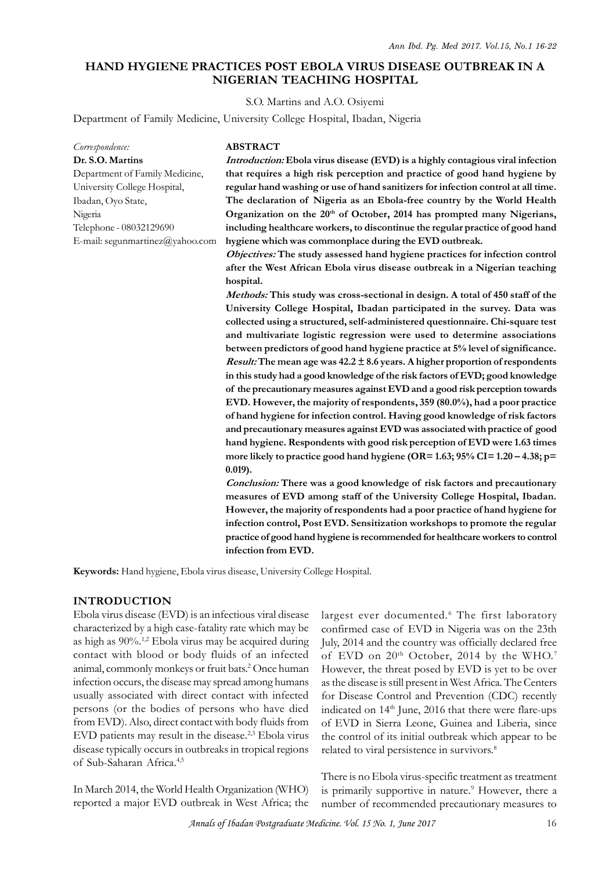## **HAND HYGIENE PRACTICES POST EBOLA VIRUS DISEASE OUTBREAK IN A NIGERIAN TEACHING HOSPITAL**

S.O. Martins and A.O. Osiyemi

Department of Family Medicine, University College Hospital, Ibadan, Nigeria

*Correspondence:* **Dr. S.O. Martins** Department of Family Medicine, University College Hospital, Ibadan, Oyo State, Nigeria Telephone - 08032129690 E-mail: segunmartinez@yahoo.com

### **ABSTRACT**

*Introduction:* **Ebola virus disease (EVD) is a highly contagious viral infection that requires a high risk perception and practice of good hand hygiene by regular hand washing or use of hand sanitizers for infection control at all time.** ABSTRACT<br> *Introduction:* Ebola virus disease (EVD) is a highly contagious viral infection<br>
that requires a high risk perception and practice of good hand hygiene by<br>
regular hand washing or use of hand sanitizers for infe **Organization on the 20th of October, 2014 has prompted many Nigerians, including healthcare workers, to discontinue the regular practice of good hand hygiene which was commonplace during the EVD outbreak.**

*Objectives:* **The study assessed hand hygiene practices for infection control after the West African Ebola virus disease outbreak in a Nigerian teaching hospital.**

*Methods:* **This study was cross-sectional in design. A total of 450 staff of the University College Hospital, Ibadan participated in the survey. Data was collected using a structured, self-administered questionnaire. Chi-square test and multivariate logistic regression were used to determine associations between predictors of good hand hygiene practice at 5% level of significance.** *Result:* **The mean age was 42.2 ± 8.6 years. A higher proportion of respondents in this study had a good knowledge of the risk factors of EVD; good knowledge** and multivariate logistic regression were used to determine associations<br>between predictors of good hand hygiene practice at  $5\%$  level of significance.<br>*Result:* The mean age was  $42.2 \pm 8.6$  years. A higher proportion **of hand hygiene for infection control. Having good knowledge of risk factors** in this study had a good knowledge of the risk factors of EVD; good knowledge<br>of the precautionary measures against EVD and a good risk perception towards<br>EVD. However, the majority of respondents, 359 (80.0%), had a poor **hand hygiene. Respondents with good risk perception of EVD were 1.63 times more likely to practice good hand hygiene (OR= 1.63; 95% CI= 1.20 – 4.38; p= 0.019).** and precautionary measures against EVD was associated with practice of good<br>hand hygiene. Respondents with good risk perception of EVD were 1.63 times<br>more likely to practice good hand hygiene (OR= 1.63; 95% CI= 1.20 – 4.3

**measures of EVD among staff of the University College Hospital, Ibadan. However, the majority of respondents had a poor practice of hand hygiene for infection control, Post EVD. Sensitization workshops to promote the regular practice of good hand hygiene is recommended for healthcare workers to control infection from EVD.**

**Keywords:** Hand hygiene, Ebola virus disease, University College Hospital.

### **INTRODUCTION**

Ebola virus disease (EVD) is an infectious viral disease as high as 90%.1,2 Ebola virus may be acquired during contact with blood or body fluids of an infected animal, commonly monkeys or fruit bats.<sup>2</sup> Once human Howev infection occurs, the disease may spread among humans usually associated with direct contact with infected persons (or the bodies of persons who have died from EVD). Also, direct contact with body fluids from EVD patients may result in the disease.2,3 Ebola virus disease typically occurs in outbreaks in tropical regions of Sub-Saharan Africa.4,5

In March 2014, the World Health Organization (WHO) reported a major EVD outbreak in West Africa; the

characterized by a high case-fatality rate which may be confirmed case of EVD in Nigeria was on the 23th largest ever documented.<sup>6</sup> The first laboratory ege Hospital.<br>largest ever documented.<sup>6</sup> The first laboratory<br>confirmed case of EVD in Nigeria was on the 23th<br>July, 2014 and the country was officially declared free July, 2014 and the country was officially declared free of EVD on  $20^{th}$  October,  $2014$  by the WHO.<sup>7</sup> However, the threat posed by EVD is yet to be over as the disease is still present in West Africa. The Centers for Disease Control and Prevention (CDC) recently indicated on 14<sup>th</sup> June, 2016 that there were flare-ups of EVD in Sierra Leone, Guinea and Liberia, since the control of its initial outbreak which appear to be related to viral persistence in survivors.<sup>8</sup>

> There is no Ebola virus-specific treatment as treatment is primarily supportive in nature.<sup>9</sup> However, there a number of recommended precautionary measures to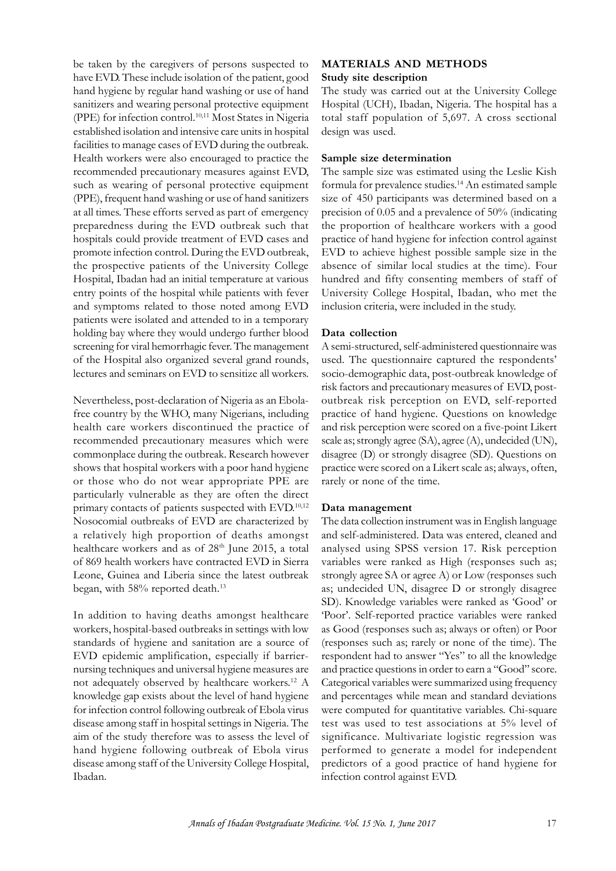be taken by the caregivers of persons suspected to have EVD. These include isolation of the patient, good hand hygiene by regular hand washing or use of hand sanitizers and wearing personal protective equipment (PPE) for infection control.<sup>10,11</sup> Most States in Nigeria established isolation and intensive care units in hospital facilities to manage cases of EVD during the outbreak. Health workers were also encouraged to practice the recommended precautionary measures against EVD, such as wearing of personal protective equipment (PPE), frequent hand washing or use of hand sanitizers size of 450 participants was determined based on a facilities to manage cases of EVD during the outbreak.<br>
Health workers were also encouraged to practice the **Sampli**<br>
recommended precautionary measures against EVD, The said<br>
such as wearing of personal protective equipme preparedness during the EVD outbreak such that hospitals could provide treatment of EVD cases and promote infection control. During the EVD outbreak, the prospective patients of the University College Hospital, Ibadan had an initial temperature at various entry points of the hospital while patients with fever and symptoms related to those noted among EVD patients were isolated and attended to in a temporary holding bay where they would undergo further blood screening for viral hemorrhagic fever. The management of the Hospital also organized several grand rounds, lectures and seminars on EVD to sensitize all workers.

Nevertheless, post-declaration of Nigeria as an Ebolafree country by the WHO, many Nigerians, including health care workers discontinued the practice of recommended precautionary measures which were commonplace during the outbreak. Research however shows that hospital workers with a poor hand hygiene or those who do not wear appropriate PPE are particularly vulnerable as they are often the direct recommended precautionary measures which were<br>commonplace during the outbreak. Research however<br>shows that hospital workers with a poor hand hygiene<br>proton those who do not wear appropriate PPE are<br>particularly vulnerable Nosocomial outbreaks of EVD are characterized by a relatively high proportion of deaths amongst healthcare workers and as of 28<sup>th</sup> June 2015, a total of 869 health workers have contracted EVD in Sierra Leone, Guinea and Liberia since the latest outbreak began, with 58% reported death.<sup>13</sup>

In addition to having deaths amongst healthcare workers, hospital-based outbreaks in settings with low standards of hygiene and sanitation are a source of EVD epidemic amplification, especially if barriernursing techniques and universal hygiene measures are not adequately observed by healthcare workers.<sup>12</sup> A knowledge gap exists about the level of hand hygiene for infection control following outbreak of Ebola virus disease among staff in hospital settings in Nigeria. The aim of the study therefore was to assess the level of hand hygiene following outbreak of Ebola virus disease among staff of the University College Hospital, Ibadan.

### **MATERIALS AND METHODS Study site description**

The study was carried out at the University College Hospital (UCH), Ibadan, Nigeria. The hospital has a total staff population of 5,697. A cross sectional design was used.

### **Sample size determination**

The sample size was estimated using the Leslie Kish formula for prevalence studies.<sup>14</sup> An estimated sample **Sample size determination**<br>The sample size was estimated using the Leslie Kish<br>formula for prevalence studies.<sup>14</sup> An estimated sample<br>size of 450 participants was determined based on a<br>precision of 0.05 and a prevalence precision of 0.05 and a prevalence of 50% (indicating the proportion of healthcare workers with a good practice of hand hygiene for infection control against EVD to achieve highest possible sample size in the absence of similar local studies at the time). Four hundred and fifty consenting members of staff of University College Hospital, Ibadan, who met the inclusion criteria, were included in the study.

## **Data collection**

A semi-structured, self-administered questionnaire was used. The questionnaire captured the respondents' socio-demographic data, post-outbreak knowledge of risk factors and precautionary measures of EVD, postoutbreak risk perception on EVD, self-reported practice of hand hygiene. Questions on knowledge and risk perception were scored on a five-point Likert scale as; strongly agree (SA), agree (A), undecided (UN), disagree (D) or strongly disagree (SD). Questions on practice were scored on a Likert scale as; always, often, rarely or none of the time.

# **Data management**

The data collection instrument was in English language and self-administered. Data was entered, cleaned and analysed using SPSS version 17. Risk perception variables were ranked as High (responses such as; strongly agree SA or agree A) or Low (responses such as; undecided UN, disagree D or strongly disagree SD). Knowledge variables were ranked as 'Good' or 'Poor'. Self-reported practice variables were ranked as Good (responses such as; always or often) or Poor (responses such as; rarely or none of the time). The respondent had to answer "Yes" to all the knowledge and practice questions in order to earn a "Good" score. Categorical variables were summarized using frequency and percentages while mean and standard deviations were computed for quantitative variables. Chi-square test was used to test associations at 5% level of significance. Multivariate logistic regression was performed to generate a model for independent predictors of a good practice of hand hygiene for infection control against EVD.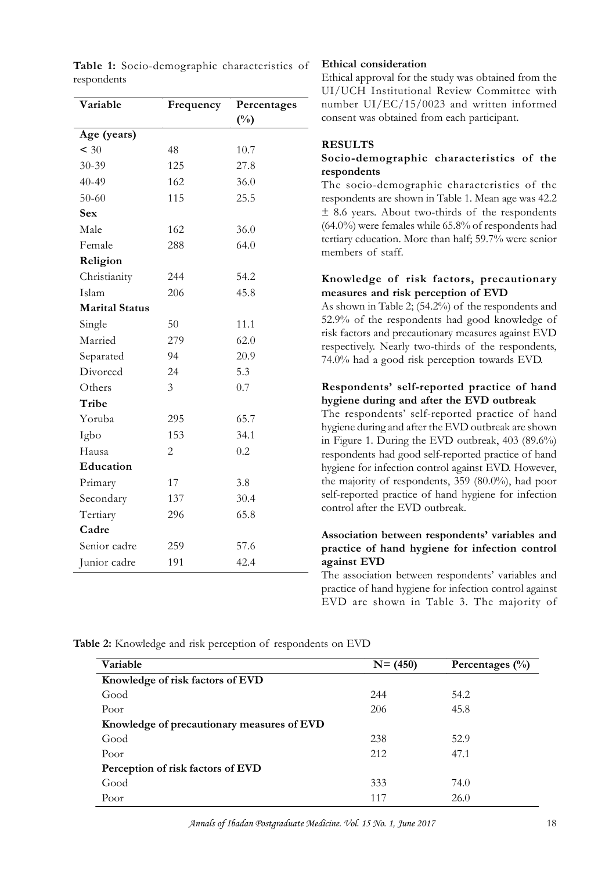| Variable              | Frequency      | Percentages   |
|-----------------------|----------------|---------------|
|                       |                | $(^{0}/_{0})$ |
| Age (years)           |                |               |
| $<$ 30                | 48             | 10.7          |
| 30-39                 | 125            | 27.8          |
| $40 - 49$             | 162            | 36.0          |
| $50 - 60$             | 115            | 25.5          |
| <b>Sex</b>            |                |               |
| Male                  | 162            | 36.0          |
| Female                | 288            | 64.0          |
| Religion              |                |               |
| Christianity          | 244            | 54.2          |
| Islam                 | 206            | 45.8          |
| <b>Marital Status</b> |                |               |
| Single                | 50             | 11.1          |
| Married               | 279            | 62.0          |
| Separated             | 94             | 20.9          |
| Divorced              | 24             | 5.3           |
| Others                | 3              | 0.7           |
| Tribe                 |                |               |
| Yoruba                | 295            | 65.7          |
| Igbo                  | 153            | 34.1          |
| Hausa                 | $\overline{2}$ | 0.2           |
| Education             |                |               |
| Primary               | 17             | 3.8           |
| Secondary             | 137            | 30.4          |
| Tertiary              | 296            | 65.8          |
| Cadre                 |                |               |
| Senior cadre          | 259            | 57.6          |
| Junior cadre          | 191            | 42.4          |

**Table 1:** Socio-demographic characteristics of respondents

### **Ethical consideration**

Ethical approval for the study was obtained from the UI/UCH Institutional Review Committee with number UI/EC/15/0023 and written informed consent was obtained from each participant.

# **RESULTS**

## **Socio-demographic characteristics of the respondents**

The socio-demographic characteristics of the respondents are shown in Table 1. Mean age was 42.2 **Socio-demographic characteristics of the**<br>**respondents**<br>The socio-demographic characteristics of the<br>respondents are shown in Table 1. Mean age was 42.2<br> $\pm$  8.6 years. About two-thirds of the respondents<br>(64.0%) were fe  $(64.0%)$  were females while 65.8% of respondents had<br>
tertiary education. More than half; 59.7% were senior<br>
members of staff.<br> **Knowledge of risk factors, precautionary**<br>
measures and risk perception of EVD<br>
As shown in tertiary education. More than half; 59.7% were senior members of staff.

# **measures and risk perception of EVD**

tertiary education. More than half; 59.7% were senior<br>members of staff.<br>**Knowledge of risk factors, precautionary**<br>measures and risk perception of EVD<br>As shown in Table 2; (54.2%) of the respondents and<br>52.9% of the respon 52.9% of the respondents had good knowledge of risk factors and precautionary measures against EVD **Knowledge of risk factors, precautionary**<br>measures and risk perception of EVD<br>As shown in Table 2; (54.2%) of the respondents and<br>52.9% of the respondents had good knowledge of<br>risk factors and precautionary measures agai 74.0% had a good risk perception towards EVD.

# **Respondents' self-reported practice of hand hygiene during and after the EVD outbreak**

The respondents' self-reported practice of hand hygiene during and after the EVD outbreak are shown in Figure 1. During the EVD outbreak, 403 (89.6%) respondents had good self-reported practice of hand hygiene for infection control against EVD. However, the majority of respondents, 359 (80.0%), had poor self-reported practice of hand hygiene for infection control after the EVD outbreak.

## **Association between respondents' variables and practice of hand hygiene for infection control against EVD**

The association between respondents' variables and practice of hand hygiene for infection control against EVD are shown in Table 3. The majority of

**Table 2:** Knowledge and risk perception of respondents on EVD

| Variable                                   | $N = (450)$ | Percentages $(\frac{0}{0})$ |
|--------------------------------------------|-------------|-----------------------------|
| Knowledge of risk factors of EVD           |             |                             |
| Good                                       | 244         | 54.2                        |
| Poor                                       | 206         | 45.8                        |
| Knowledge of precautionary measures of EVD |             |                             |
| Good                                       | 238         | 52.9                        |
| Poor                                       | 212         | 47.1                        |
| Perception of risk factors of EVD          |             |                             |
| Good                                       | 333         | 74.0                        |
| Poor                                       | 117         | 26.0                        |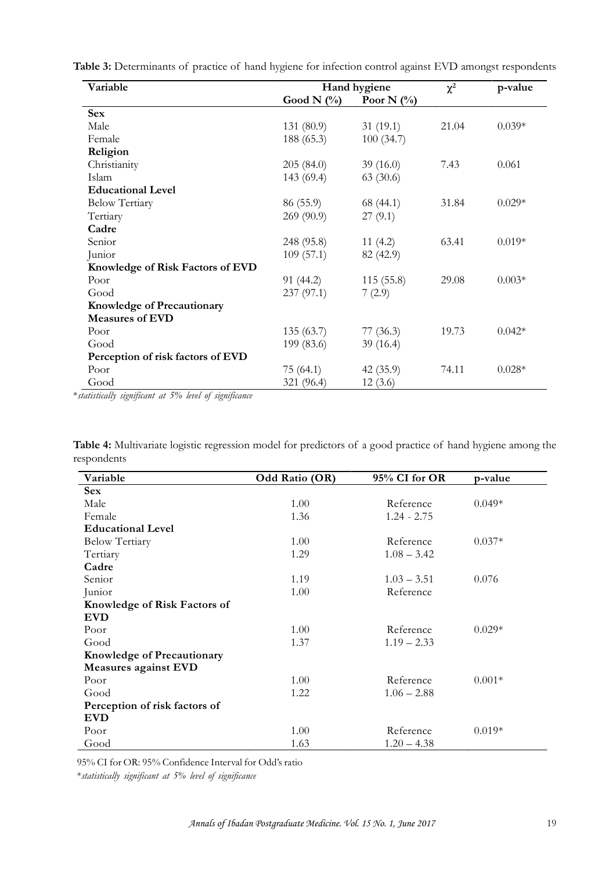| Variable                          | Hand hygiene  |               | $\chi^2$ | p-value  |
|-----------------------------------|---------------|---------------|----------|----------|
|                                   | Good N $(\%)$ | Poor N $(\%)$ |          |          |
| <b>Sex</b>                        |               |               |          |          |
| Male                              | 131 (80.9)    | 31(19.1)      | 21.04    | $0.039*$ |
| Female                            | 188 (65.3)    | 100(34.7)     |          |          |
| Religion                          |               |               |          |          |
| Christianity                      | 205(84.0)     | 39(16.0)      | 7.43     | 0.061    |
| Islam                             | 143 (69.4)    | 63(30.6)      |          |          |
| <b>Educational Level</b>          |               |               |          |          |
| <b>Below Tertiary</b>             | 86 (55.9)     | 68 (44.1)     | 31.84    | $0.029*$ |
| Tertiary                          | 269 (90.9)    | 27(9.1)       |          |          |
| Cadre                             |               |               |          |          |
| Senior                            | 248 (95.8)    | 11(4.2)       | 63.41    | $0.019*$ |
| Junior                            | 109(57.1)     | 82 (42.9)     |          |          |
| Knowledge of Risk Factors of EVD  |               |               |          |          |
| Poor                              | 91 (44.2)     | 115(55.8)     | 29.08    | $0.003*$ |
| Good                              | 237 (97.1)    | 7(2.9)        |          |          |
| <b>Knowledge of Precautionary</b> |               |               |          |          |
| <b>Measures of EVD</b>            |               |               |          |          |
| Poor                              | 135(63.7)     | 77(36.3)      | 19.73    | $0.042*$ |
| Good                              | 199 (83.6)    | 39(16.4)      |          |          |
| Perception of risk factors of EVD |               |               |          |          |
| Poor                              | 75 (64.1)     | 42(35.9)      | 74.11    | $0.028*$ |
| Good                              | 321 (96.4)    | 12(3.6)       |          |          |

Table 3: Determinants of practice of hand hygiene for infection control against EVD amongst respondents

| Good                                                                                                        | 321 (96.4) | 12(3.6) |  |
|-------------------------------------------------------------------------------------------------------------|------------|---------|--|
| *statistically significant at 5% level of significance                                                      |            |         |  |
|                                                                                                             |            |         |  |
|                                                                                                             |            |         |  |
| Table 4: Multivariate logistic regression model for predictors of a good practice of hand hygiene among the |            |         |  |
|                                                                                                             |            |         |  |
| respondents                                                                                                 |            |         |  |

| Variable                          | Odd Ratio (OR) | 95% CI for OR | p-value  |
|-----------------------------------|----------------|---------------|----------|
| <b>Sex</b>                        |                |               |          |
| Male                              | 1.00           | Reference     | $0.049*$ |
| Female                            | 1.36           | $1.24 - 2.75$ |          |
| <b>Educational Level</b>          |                |               |          |
| <b>Below Tertiary</b>             | 1.00           | Reference     | $0.037*$ |
| Tertiary                          | 1.29           | $1.08 - 3.42$ |          |
| Cadre                             |                |               |          |
| Senior                            | 1.19           | $1.03 - 3.51$ | 0.076    |
| Junior                            | 1.00           | Reference     |          |
| Knowledge of Risk Factors of      |                |               |          |
| <b>EVD</b>                        |                |               |          |
| Poor                              | 1.00           | Reference     | $0.029*$ |
| Good                              | 1.37           | $1.19 - 2.33$ |          |
| <b>Knowledge of Precautionary</b> |                |               |          |
| Measures against EVD              |                |               |          |
| Poor                              | 1.00           | Reference     | $0.001*$ |
| Good                              | 1.22           | $1.06 - 2.88$ |          |
| Perception of risk factors of     |                |               |          |
| <b>EVD</b>                        |                |               |          |
| Poor                              | 1.00           | Reference     | $0.019*$ |
| Good                              | 1.63           | $1.20 - 4.38$ |          |

95% CI for OR: 95% Confidence Interval for Odd's ratio

\**statistically significant at 5% level of significance*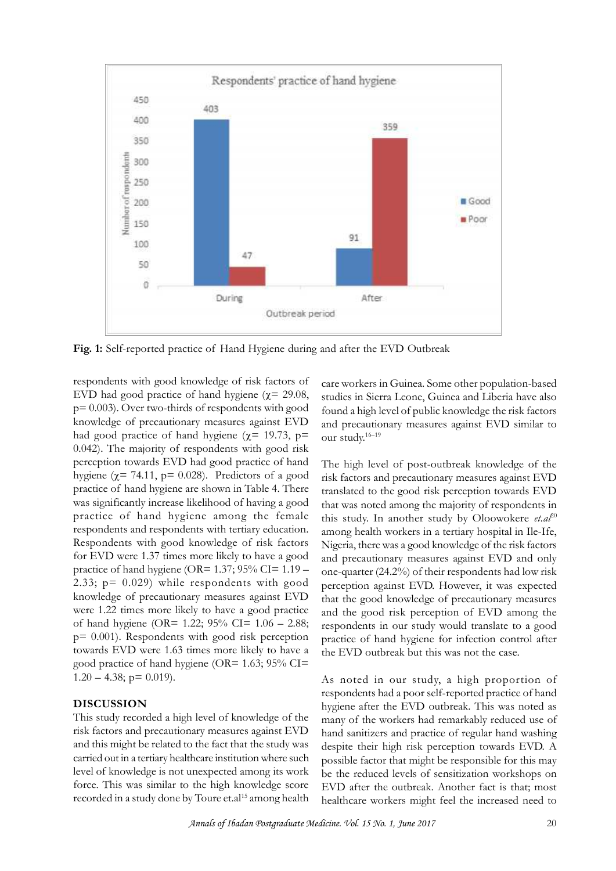

respondents with good knowledge of risk factors of EVD had good practice of hand hygiene ( $\gamma$  = 29.08,  $p= 0.003$ ). Over two-thirds of respondents with good knowledge of precautionary measures against EVD had good practice of hand hygiene ( $\chi$ = 19.73, p= 0.042). The majority of respondents with good risk perception towards EVD had good practice of hand hygiene ( $\chi$ = 74.11, p= 0.028). Predictors of a good knowledge of precautionary measures against EVD and probability had good practice of hand hygiene ( $\chi$ = 74.11, p= 0.028). Predictors of a good is fall practice of hand hygiene ( $\chi$ = 74.11, p= 0.028). Predictors of a goo practice of hand hygiene among the female respondents and respondents with tertiary education. Respondents with good knowledge of risk factors for EVD were 1.37 times more likely to have a good practice of hand hygiene (OR= 1.37; 95% CI= 1.19 – 2.33; p= 0.029) while respondents with good knowledge of precautionary measures against EVD were 1.22 times more likely to have a good practice of hand hygiene (OR= 1.22;  $95\%$  CI= 1.06 – 2.88; p= 0.001). Respondents with good risk perception towards EVD were 1.63 times more likely to have a good practice of hand hygiene (OR=  $1.63$ ;  $95\%$  CI=  $1.20 - 4.38$ ; p= 0.019).

## **DISCUSSION**

This study recorded a high level of knowledge of the risk factors and precautionary measures against EVD and this might be related to the fact that the study was carried out in a tertiary healthcare institution where such level of knowledge is not unexpected among its work force. This was similar to the high knowledge score recorded in a study done by Toure et.al<sup>15</sup> among health care workers in Guinea. Some other population-based studies in Sierra Leone, Guinea and Liberia have also found a high level of public knowledge the risk factors and precautionary measures against EVD similar to our study.16–19

The high level of post-outbreak knowledge of the risk factors and precautionary measures against EVD translated to the good risk perception towards EVD that was noted among the majority of respondents in this study. In another study by Oloowokere et.al<sup>20</sup> among health workers in a tertiary hospital in Ile-Ife, Nigeria, there was a good knowledge of the risk factors and precautionary measures against EVD and only one-quarter (24.2%) of their respondents had low risk perception against EVD. However, it was expected that the good knowledge of precautionary measures and the good risk perception of EVD among the respondents in our study would translate to a good practice of hand hygiene for infection control after the EVD outbreak but this was not the case.

As noted in our study, a high proportion of respondents had a poor self-reported practice of hand hygiene after the EVD outbreak. This was noted as many of the workers had remarkably reduced use of hand sanitizers and practice of regular hand washing despite their high risk perception towards EVD. A possible factor that might be responsible for this may be the reduced levels of sensitization workshops on EVD after the outbreak. Another fact is that; most healthcare workers might feel the increased need to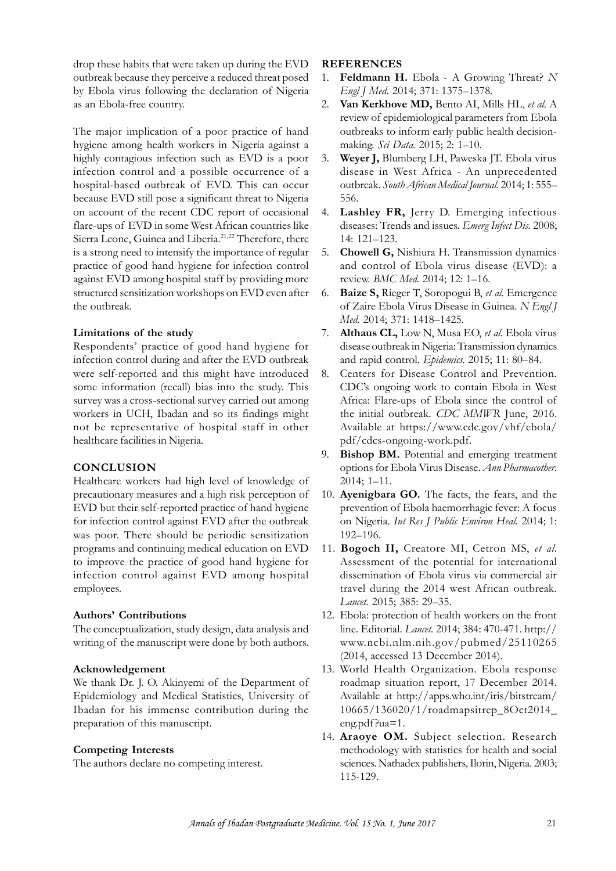drop these habits that were taken up during the EVD outbreak because they perceive a reduced threat posed by Ebola virus following the declaration of Nigeria as an Ebola-free country.

The major implication of a poor practice of hand hygiene among health workers in Nigeria against a highly contagious infection such as EVD is a poor 3. infection control and a possible occurrence of a The major implication of a poor practice of hand<br>hygiene among health workers in Nigeria against a<br>highly contagious infection such as EVD is a poor 3.<br>infection control and a possible occurrence of a<br>hospital-based outbre on account of the recent CDC report of occasional flare-ups of EVD is a poor 3.<br>
infection control and a possible occurrence of a<br>
hospital-based outbreak of EVD. This can occur<br>
because EVD still pose a significant threat to Nigeria<br>
on account of the recent CDC report o is a strong need to intensify the importance of regular practice of good hand hygiene for infection control against EVD among hospital staff by providing more structured sensitization workshops on EVD even after 6. the outbreak.

### **Limitations of the study**

Respondents' practice of good hand hygiene for infection control during and after the EVD outbreak were self-reported and this might have introduced 8. some information (recall) bias into the study. This survey was a cross-sectional survey carried out among workers in UCH, Ibadan and so its findings might not be representative of hospital staff in other healthcare facilities in Nigeria.

## **CONCLUSION**

Healthcare workers had high level of knowledge of precautionary measures and a high risk perception of EVD but their self-reported practice of hand hygiene for infection control against EVD after the outbreak was poor. There should be periodic sensitization programs and continuing medical education on EVD to improve the practice of good hand hygiene for infection control against EVD among hospital employees.

## **Authors' Contributions**

The conceptualization, study design, data analysis and infection control against EVD among hospital<br>employees.<br>Authors' Contributions<br>The conceptualization, study design, data analysis and<br>writing of the manuscript were done by both authors.

### **Acknowledgement**

Authors' Contributions<br>
The conceptualization, study design, data analysis and<br>
writing of the manuscript were done by both authors.<br>
Acknowledgement 13.<br>
We thank Dr. J. O. Akinyemi of the Department of<br>
Epidemiology and Epidemiology and Medical Statistics, University of Ibadan for his immense contribution during the preparation of this manuscript.

### **Competing Interests**

The authors declare no competing interest.

### **REFERENCES**

- 1. **Feldmann H.** Ebola A Growing Threat? *N Engl J Med.* 2014; 371: 1375–1378.
- 2. **Van Kerkhove MD,** Bento AI, Mills HL, *et al.* A review of epidemiological parameters from Ebola outbreaks to inform early public health decisionmaking. *Sci Data.* 2015; 2: 1–10.
- 3. **Weyer J,** Blumberg LH, Paweska JT. Ebola virus disease in West Africa - An unprecedented outbreak. *South African Medical Journal.* 2014; 1: 555– 556.
- Lashley FR, Jerry D. Emerging infectious diseases: Trends and issues. *Emerg Infect Dis.* 2008; 14: 121–123.
- 5. **Chowell G,** Nishiura H. Transmission dynamics and control of Ebola virus disease (EVD): a review. *BMC Med.* 2014; 12: 1–16.
- 6. **Baize S,** Rieger T, Soropogui B, *et al.* Emergence of Zaire Ebola Virus Disease in Guinea. *N Engl J Med.* 2014; 371: 1418–1425.
- 7. **Althaus CL,** Low N, Musa EO, *et al.* Ebola virus disease outbreak in Nigeria: Transmission dynamics and rapid control. *Epidemics.* 2015; 11: 80–84.
- Centers for Disease Control and Prevention. CDC's ongoing work to contain Ebola in West Africa: Flare-ups of Ebola since the control of the initial outbreak. *CDC MMWR* June, 2016. Available at https://www.cdc.gov/vhf/ebola/ pdf/cdcs-ongoing-work.pdf.
- 9. **Bishop BM.** Potential and emerging treatment options for Ebola Virus Disease. *Ann Pharmacother.* 2014; 1–11.
- 10. **Ayenigbara GO.** The facts, the fears, and the prevention of Ebola haemorrhagic fever: A focus on Nigeria. *Int Res J Public Environ Heal.* 2014; 1: 192–196.
- 11. **Bogoch II,** Creatore MI, Cetron MS, *et al.* Assessment of the potential for international dissemination of Ebola virus via commercial air travel during the 2014 west African outbreak. *Lancet.* 2015; 385: 29–35.
- 12. Ebola: protection of health workers on the front line. Editorial. *Lancet.* 2014; 384: 470-471. http:// www.ncbi.nlm.nih.gov/pubmed/25110265 (2014, accessed 13 December 2014).
- 13. World Health Organization. Ebola response roadmap situation report, 17 December 2014. Available at http://apps.who.int/iris/bitstream/ 10665/136020/1/roadmapsitrep\_8Oct2014\_ eng.pdf?ua=1.
- 14. **Araoye OM.** Subject selection. Research methodology with statistics for health and social sciences. Nathadex publishers, Ilorin, Nigeria. 2003; 115-129.